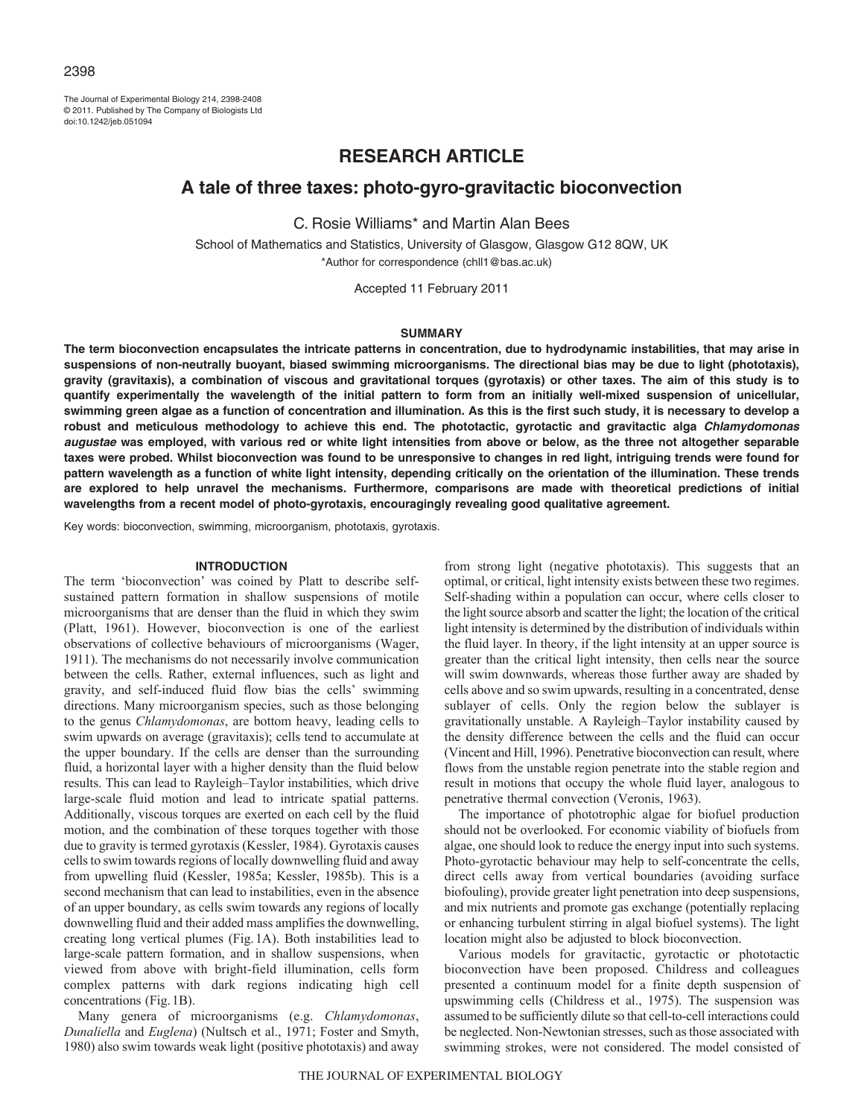The Journal of Experimental Biology 214, 2398-2408 © 2011. Published by The Company of Biologists Ltd doi:10.1242/jeb.051094

# **RESEARCH ARTICLE**

## **A tale of three taxes: photo-gyro-gravitactic bioconvection**

C. Rosie Williams\* and Martin Alan Bees

School of Mathematics and Statistics, University of Glasgow, Glasgow G12 8QW, UK \*Author for correspondence (chll1@bas.ac.uk)

Accepted 11 February 2011

#### **SUMMARY**

**The term bioconvection encapsulates the intricate patterns in concentration, due to hydrodynamic instabilities, that may arise in suspensions of non-neutrally buoyant, biased swimming microorganisms. The directional bias may be due to light (phototaxis), gravity (gravitaxis), a combination of viscous and gravitational torques (gyrotaxis) or other taxes. The aim of this study is to quantify experimentally the wavelength of the initial pattern to form from an initially well-mixed suspension of unicellular, swimming green algae as a function of concentration and illumination. As this is the first such study, it is necessary to develop a robust and meticulous methodology to achieve this end. The phototactic, gyrotactic and gravitactic alga Chlamydomonas augustae was employed, with various red or white light intensities from above or below, as the three not altogether separable taxes were probed. Whilst bioconvection was found to be unresponsive to changes in red light, intriguing trends were found for pattern wavelength as a function of white light intensity, depending critically on the orientation of the illumination. These trends are explored to help unravel the mechanisms. Furthermore, comparisons are made with theoretical predictions of initial wavelengths from a recent model of photo-gyrotaxis, encouragingly revealing good qualitative agreement.**

Key words: bioconvection, swimming, microorganism, phototaxis, gyrotaxis.

#### **INTRODUCTION**

The term 'bioconvection' was coined by Platt to describe selfsustained pattern formation in shallow suspensions of motile microorganisms that are denser than the fluid in which they swim (Platt, 1961). However, bioconvection is one of the earliest observations of collective behaviours of microorganisms (Wager, 1911). The mechanisms do not necessarily involve communication between the cells. Rather, external influences, such as light and gravity, and self-induced fluid flow bias the cells' swimming directions. Many microorganism species, such as those belonging to the genus *Chlamydomonas*, are bottom heavy, leading cells to swim upwards on average (gravitaxis); cells tend to accumulate at the upper boundary. If the cells are denser than the surrounding fluid, a horizontal layer with a higher density than the fluid below results. This can lead to Rayleigh–Taylor instabilities, which drive large-scale fluid motion and lead to intricate spatial patterns. Additionally, viscous torques are exerted on each cell by the fluid motion, and the combination of these torques together with those due to gravity is termed gyrotaxis (Kessler, 1984). Gyrotaxis causes cells to swim towards regions of locally downwelling fluid and away from upwelling fluid (Kessler, 1985a; Kessler, 1985b). This is a second mechanism that can lead to instabilities, even in the absence of an upper boundary, as cells swim towards any regions of locally downwelling fluid and their added mass amplifies the downwelling, creating long vertical plumes (Fig.1A). Both instabilities lead to large-scale pattern formation, and in shallow suspensions, when viewed from above with bright-field illumination, cells form complex patterns with dark regions indicating high cell concentrations (Fig.1B).

Many genera of microorganisms (e.g. *Chlamydomonas*, *Dunaliella* and *Euglena*) (Nultsch et al., 1971; Foster and Smyth, 1980) also swim towards weak light (positive phototaxis) and away

from strong light (negative phototaxis). This suggests that an optimal, or critical, light intensity exists between these two regimes. Self-shading within a population can occur, where cells closer to the light source absorb and scatter the light; the location of the critical light intensity is determined by the distribution of individuals within the fluid layer. In theory, if the light intensity at an upper source is greater than the critical light intensity, then cells near the source will swim downwards, whereas those further away are shaded by cells above and so swim upwards, resulting in a concentrated, dense sublayer of cells. Only the region below the sublayer is gravitationally unstable. A Rayleigh–Taylor instability caused by the density difference between the cells and the fluid can occur (Vincent and Hill, 1996). Penetrative bioconvection can result, where flows from the unstable region penetrate into the stable region and result in motions that occupy the whole fluid layer, analogous to penetrative thermal convection (Veronis, 1963).

The importance of phototrophic algae for biofuel production should not be overlooked. For economic viability of biofuels from algae, one should look to reduce the energy input into such systems. Photo-gyrotactic behaviour may help to self-concentrate the cells, direct cells away from vertical boundaries (avoiding surface biofouling), provide greater light penetration into deep suspensions, and mix nutrients and promote gas exchange (potentially replacing or enhancing turbulent stirring in algal biofuel systems). The light location might also be adjusted to block bioconvection.

Various models for gravitactic, gyrotactic or phototactic bioconvection have been proposed. Childress and colleagues presented a continuum model for a finite depth suspension of upswimming cells (Childress et al., 1975). The suspension was assumed to be sufficiently dilute so that cell-to-cell interactions could be neglected. Non-Newtonian stresses, such as those associated with swimming strokes, were not considered. The model consisted of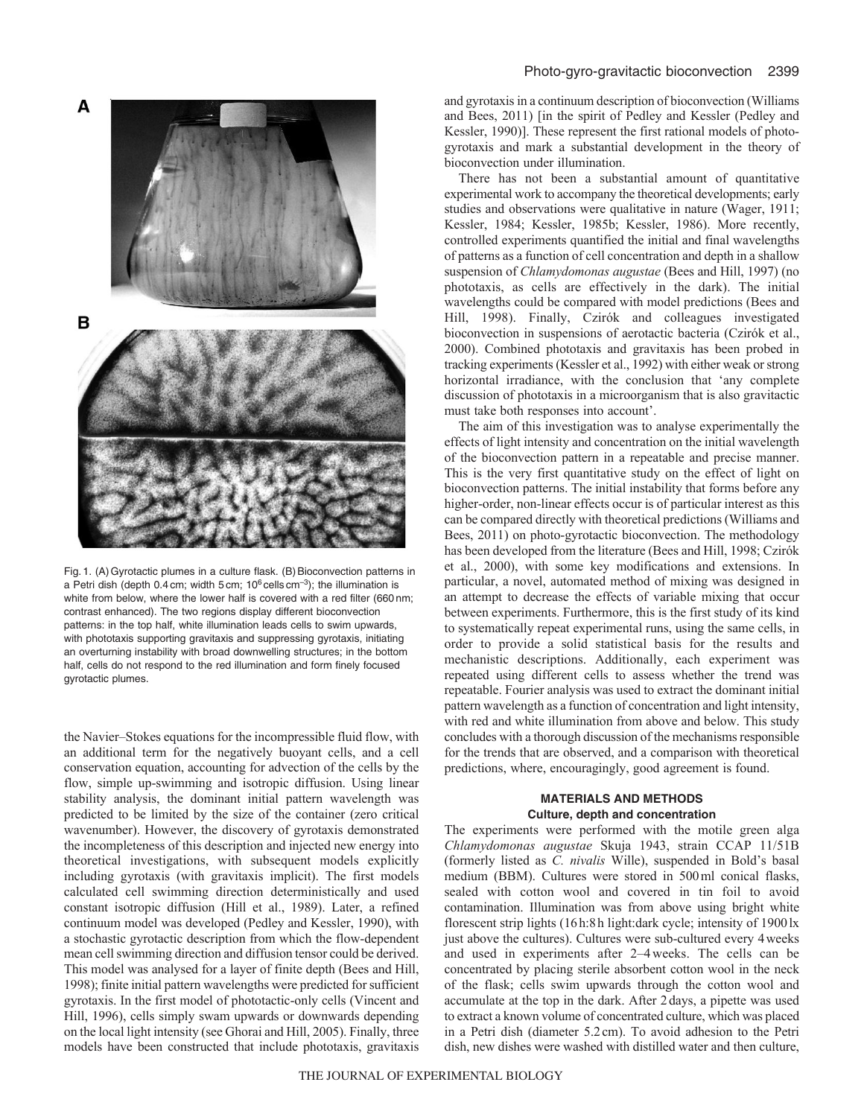

Fig. 1. (A) Gyrotactic plumes in a culture flask. (B) Bioconvection patterns in a Petri dish (depth 0.4 cm; width 5 cm;  $10^6$  cells cm<sup>-3</sup>); the illumination is white from below, where the lower half is covered with a red filter (660 nm; contrast enhanced). The two regions display different bioconvection patterns: in the top half, white illumination leads cells to swim upwards, with phototaxis supporting gravitaxis and suppressing gyrotaxis, initiating an overturning instability with broad downwelling structures; in the bottom half, cells do not respond to the red illumination and form finely focused gyrotactic plumes.

the Navier–Stokes equations for the incompressible fluid flow, with an additional term for the negatively buoyant cells, and a cell conservation equation, accounting for advection of the cells by the flow, simple up-swimming and isotropic diffusion. Using linear stability analysis, the dominant initial pattern wavelength was predicted to be limited by the size of the container (zero critical wavenumber). However, the discovery of gyrotaxis demonstrated the incompleteness of this description and injected new energy into theoretical investigations, with subsequent models explicitly including gyrotaxis (with gravitaxis implicit). The first models calculated cell swimming direction deterministically and used constant isotropic diffusion (Hill et al., 1989). Later, a refined continuum model was developed (Pedley and Kessler, 1990), with a stochastic gyrotactic description from which the flow-dependent mean cell swimming direction and diffusion tensor could be derived. This model was analysed for a layer of finite depth (Bees and Hill, 1998); finite initial pattern wavelengths were predicted for sufficient gyrotaxis. In the first model of phototactic-only cells (Vincent and Hill, 1996), cells simply swam upwards or downwards depending on the local light intensity (see Ghorai and Hill, 2005). Finally, three models have been constructed that include phototaxis, gravitaxis

and gyrotaxis in a continuum description of bioconvection (Williams and Bees, 2011) [in the spirit of Pedley and Kessler (Pedley and Kessler, 1990)]. These represent the first rational models of photogyrotaxis and mark a substantial development in the theory of bioconvection under illumination.

There has not been a substantial amount of quantitative experimental work to accompany the theoretical developments; early studies and observations were qualitative in nature (Wager, 1911; Kessler, 1984; Kessler, 1985b; Kessler, 1986). More recently, controlled experiments quantified the initial and final wavelengths of patterns as a function of cell concentration and depth in a shallow suspension of *Chlamydomonas augustae* (Bees and Hill, 1997) (no phototaxis, as cells are effectively in the dark). The initial wavelengths could be compared with model predictions (Bees and Hill, 1998). Finally, Czirók and colleagues investigated bioconvection in suspensions of aerotactic bacteria (Czirók et al., 2000). Combined phototaxis and gravitaxis has been probed in tracking experiments (Kessler et al., 1992) with either weak or strong horizontal irradiance, with the conclusion that 'any complete discussion of phototaxis in a microorganism that is also gravitactic must take both responses into account'.

The aim of this investigation was to analyse experimentally the effects of light intensity and concentration on the initial wavelength of the bioconvection pattern in a repeatable and precise manner. This is the very first quantitative study on the effect of light on bioconvection patterns. The initial instability that forms before any higher-order, non-linear effects occur is of particular interest as this can be compared directly with theoretical predictions (Williams and Bees, 2011) on photo-gyrotactic bioconvection. The methodology has been developed from the literature (Bees and Hill, 1998; Czirók et al., 2000), with some key modifications and extensions. In particular, a novel, automated method of mixing was designed in an attempt to decrease the effects of variable mixing that occur between experiments. Furthermore, this is the first study of its kind to systematically repeat experimental runs, using the same cells, in order to provide a solid statistical basis for the results and mechanistic descriptions. Additionally, each experiment was repeated using different cells to assess whether the trend was repeatable. Fourier analysis was used to extract the dominant initial pattern wavelength as a function of concentration and light intensity, with red and white illumination from above and below. This study concludes with a thorough discussion of the mechanisms responsible for the trends that are observed, and a comparison with theoretical predictions, where, encouragingly, good agreement is found.

## **MATERIALS AND METHODS Culture, depth and concentration**

The experiments were performed with the motile green alga *Chlamydomonas augustae* Skuja 1943, strain CCAP 11/51B (formerly listed as *C. nivalis* Wille), suspended in Bold's basal medium (BBM). Cultures were stored in 500ml conical flasks, sealed with cotton wool and covered in tin foil to avoid contamination. Illumination was from above using bright white florescent strip lights (16h:8h light:dark cycle; intensity of 1900lx just above the cultures). Cultures were sub-cultured every 4 weeks and used in experiments after 2–4weeks. The cells can be concentrated by placing sterile absorbent cotton wool in the neck of the flask; cells swim upwards through the cotton wool and accumulate at the top in the dark. After 2days, a pipette was used to extract a known volume of concentrated culture, which was placed in a Petri dish (diameter 5.2cm). To avoid adhesion to the Petri dish, new dishes were washed with distilled water and then culture,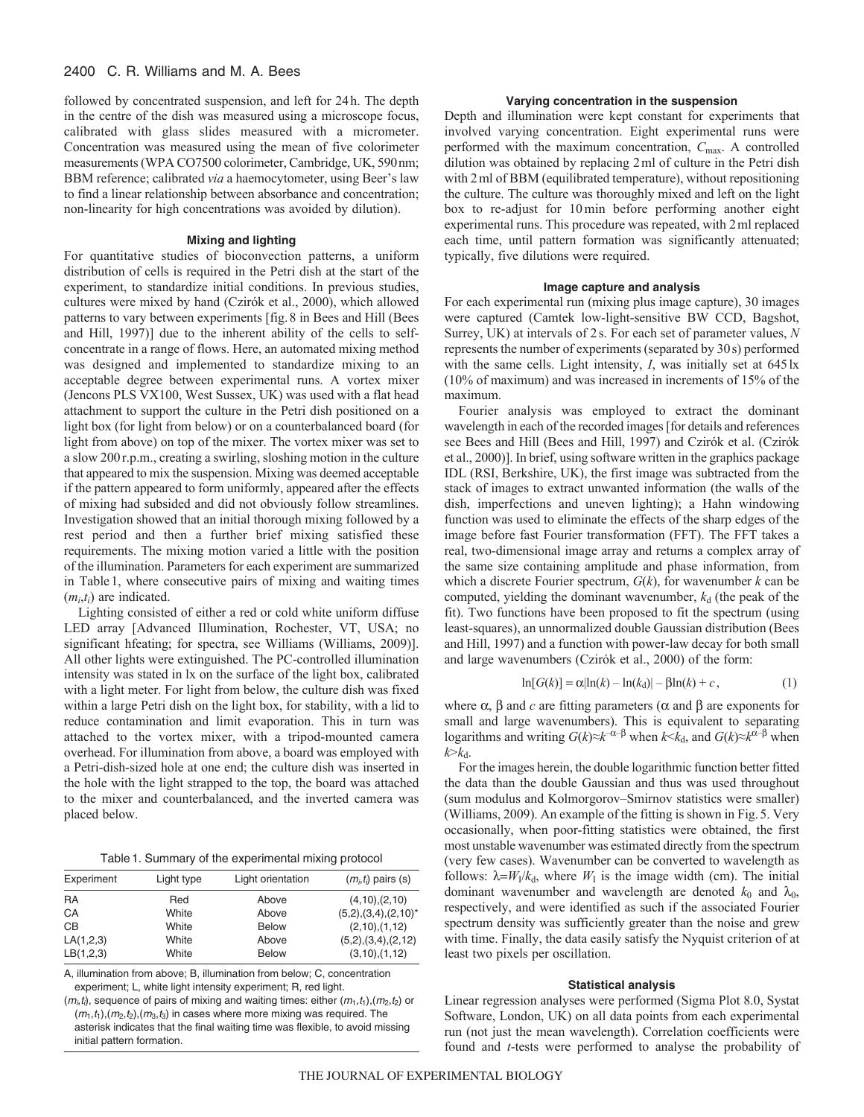followed by concentrated suspension, and left for 24h. The depth in the centre of the dish was measured using a microscope focus, calibrated with glass slides measured with a micrometer. Concentration was measured using the mean of five colorimeter measurements (WPA CO7500 colorimeter, Cambridge, UK, 590nm; BBM reference; calibrated *via* a haemocytometer, using Beer's law to find a linear relationship between absorbance and concentration; non-linearity for high concentrations was avoided by dilution).

#### **Mixing and lighting**

For quantitative studies of bioconvection patterns, a uniform distribution of cells is required in the Petri dish at the start of the experiment, to standardize initial conditions. In previous studies, cultures were mixed by hand (Czirók et al., 2000), which allowed patterns to vary between experiments [fig.8 in Bees and Hill (Bees and Hill, 1997)] due to the inherent ability of the cells to selfconcentrate in a range of flows. Here, an automated mixing method was designed and implemented to standardize mixing to an acceptable degree between experimental runs. A vortex mixer (Jencons PLS VX100, West Sussex, UK) was used with a flat head attachment to support the culture in the Petri dish positioned on a light box (for light from below) or on a counterbalanced board (for light from above) on top of the mixer. The vortex mixer was set to a slow 200r.p.m., creating a swirling, sloshing motion in the culture that appeared to mix the suspension. Mixing was deemed acceptable if the pattern appeared to form uniformly, appeared after the effects of mixing had subsided and did not obviously follow streamlines. Investigation showed that an initial thorough mixing followed by a rest period and then a further brief mixing satisfied these requirements. The mixing motion varied a little with the position of the illumination. Parameters for each experiment are summarized in Table1, where consecutive pairs of mixing and waiting times  $(m<sub>i</sub>, t<sub>i</sub>)$  are indicated.

Lighting consisted of either a red or cold white uniform diffuse LED array [Advanced Illumination, Rochester, VT, USA; no significant hfeating; for spectra, see Williams (Williams, 2009)]. All other lights were extinguished. The PC-controlled illumination intensity was stated in lx on the surface of the light box, calibrated with a light meter. For light from below, the culture dish was fixed within a large Petri dish on the light box, for stability, with a lid to reduce contamination and limit evaporation. This in turn was attached to the vortex mixer, with a tripod-mounted camera overhead. For illumination from above, a board was employed with a Petri-dish-sized hole at one end; the culture dish was inserted in the hole with the light strapped to the top, the board was attached to the mixer and counterbalanced, and the inverted camera was placed below.

Table1. Summary of the experimental mixing protocol

| Experiment | Light type | Light orientation | $(m_i,t_i)$ pairs (s)  |  |  |
|------------|------------|-------------------|------------------------|--|--|
| <b>RA</b>  | Red        | Above             | (4,10), (2,10)         |  |  |
| CA         | White      | Above             | $(5,2),(3,4),(2,10)^*$ |  |  |
| CВ         | White      | <b>Below</b>      | (2,10),(1,12)          |  |  |
| LA(1,2,3)  | White      | Above             | (5,2), (3,4), (2,12)   |  |  |
| LB(1,2,3)  | White      | <b>Below</b>      | (3,10),(1,12)          |  |  |

A, illumination from above; B, illumination from below; C, concentration experiment; L, white light intensity experiment; R, red light.

 $(m_i,t_i)$ , sequence of pairs of mixing and waiting times: either  $(m_1,t_1),(m_2,t_2)$  or  $(m_1,t_1),(m_2,t_2),(m_3,t_3)$  in cases where more mixing was required. The asterisk indicates that the final waiting time was flexible, to avoid missing initial pattern formation.

#### **Varying concentration in the suspension**

Depth and illumination were kept constant for experiments that involved varying concentration. Eight experimental runs were performed with the maximum concentration, *C*max. A controlled dilution was obtained by replacing 2ml of culture in the Petri dish with 2ml of BBM (equilibrated temperature), without repositioning the culture. The culture was thoroughly mixed and left on the light box to re-adjust for 10min before performing another eight experimental runs. This procedure was repeated, with 2ml replaced each time, until pattern formation was significantly attenuated; typically, five dilutions were required.

#### **Image capture and analysis**

For each experimental run (mixing plus image capture), 30 images were captured (Camtek low-light-sensitive BW CCD, Bagshot, Surrey, UK) at intervals of 2s. For each set of parameter values, *N* represents the number of experiments (separated by 30s) performed with the same cells. Light intensity, *I*, was initially set at 645lx (10% of maximum) and was increased in increments of 15% of the maximum.

Fourier analysis was employed to extract the dominant wavelength in each of the recorded images [for details and references see Bees and Hill (Bees and Hill, 1997) and Czirók et al. (Czirók et al., 2000)]. In brief, using software written in the graphics package IDL (RSI, Berkshire, UK), the first image was subtracted from the stack of images to extract unwanted information (the walls of the dish, imperfections and uneven lighting); a Hahn windowing function was used to eliminate the effects of the sharp edges of the image before fast Fourier transformation (FFT). The FFT takes a real, two-dimensional image array and returns a complex array of the same size containing amplitude and phase information, from which a discrete Fourier spectrum,  $G(k)$ , for wavenumber  $k$  can be computed, yielding the dominant wavenumber,  $k_d$  (the peak of the fit). Two functions have been proposed to fit the spectrum (using least-squares), an unnormalized double Gaussian distribution (Bees and Hill, 1997) and a function with power-law decay for both small and large wavenumbers (Czirók et al., 2000) of the form:

$$
\ln[G(k)] = \alpha |\ln(k) - \ln(k_{d})| - \beta \ln(k) + c, \qquad (1)
$$

where  $\alpha$ ,  $\beta$  and *c* are fitting parameters ( $\alpha$  and  $\beta$  are exponents for small and large wavenumbers). This is equivalent to separating logarithms and writing  $G(k) \approx k^{-\alpha-\beta}$  when  $k < k_d$ , and  $G(k) \approx k^{\alpha-\beta}$  when  $k > k_d$ .

For the images herein, the double logarithmic function better fitted the data than the double Gaussian and thus was used throughout (sum modulus and Kolmorgorov–Smirnov statistics were smaller) (Williams, 2009). An example of the fitting is shown in Fig.5. Very occasionally, when poor-fitting statistics were obtained, the first most unstable wavenumber was estimated directly from the spectrum (very few cases). Wavenumber can be converted to wavelength as follows:  $\lambda = W_1/k_d$ , where  $W_1$  is the image width (cm). The initial dominant wavenumber and wavelength are denoted  $k_0$  and  $\lambda_0$ , respectively, and were identified as such if the associated Fourier spectrum density was sufficiently greater than the noise and grew with time. Finally, the data easily satisfy the Nyquist criterion of at least two pixels per oscillation.

#### **Statistical analysis**

Linear regression analyses were performed (Sigma Plot 8.0, Systat Software, London, UK) on all data points from each experimental run (not just the mean wavelength). Correlation coefficients were found and *t*-tests were performed to analyse the probability of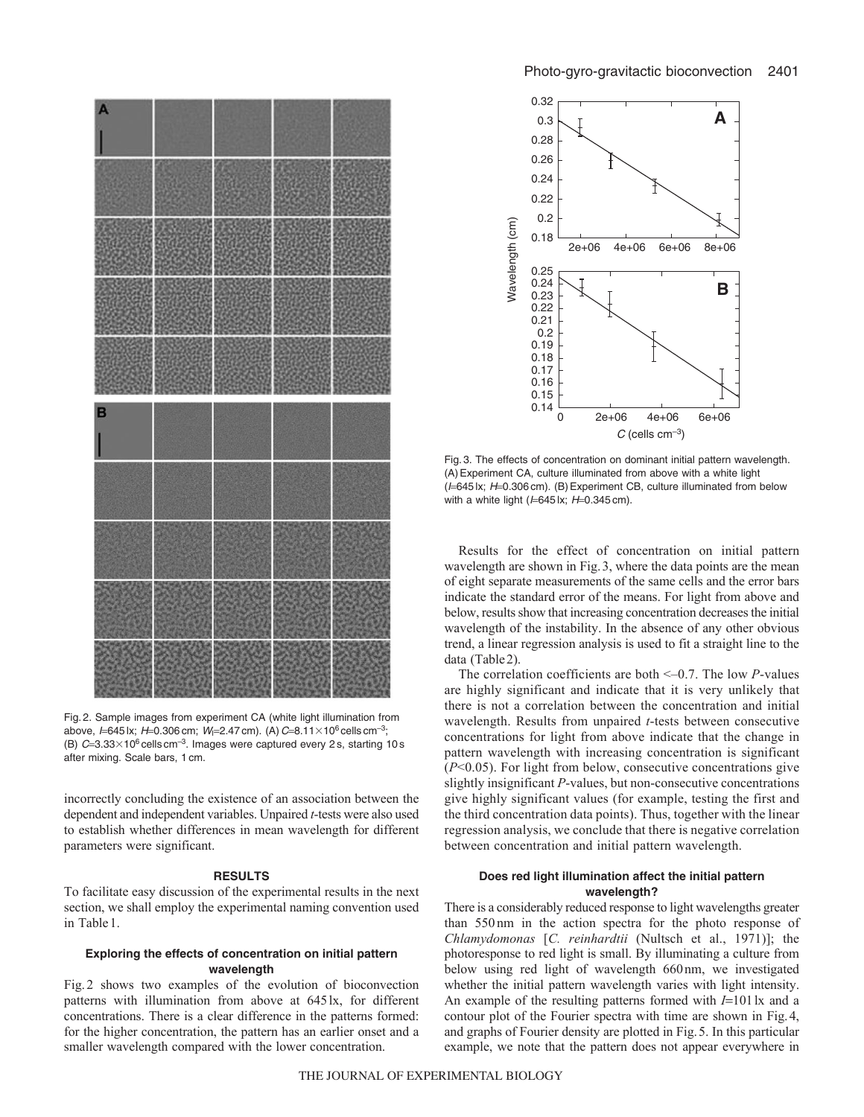



Fig. 2. Sample images from experiment CA (white light illumination from above,  $\mu$ =645 lx;  $\mu$ =0.306 cm;  $W$ <sub>=2.47</sub> cm). (A) C=8.11 $\times$ 10<sup>6</sup> cells cm<sup>-3</sup>; (B)  $C = 3.33 \times 10^6$  cells cm<sup>-3</sup>. Images were captured every 2s, starting 10 s after mixing. Scale bars, 1 cm.

incorrectly concluding the existence of an association between the dependent and independent variables. Unpaired *t*-tests were also used to establish whether differences in mean wavelength for different parameters were significant.

## **RESULTS**

To facilitate easy discussion of the experimental results in the next section, we shall employ the experimental naming convention used in Table1.

## **Exploring the effects of concentration on initial pattern wavelength**

Fig.2 shows two examples of the evolution of bioconvection patterns with illumination from above at 645 lx, for different concentrations. There is a clear difference in the patterns formed: for the higher concentration, the pattern has an earlier onset and a smaller wavelength compared with the lower concentration.



Fig. 3. The effects of concentration on dominant initial pattern wavelength. (A)Experiment CA, culture illuminated from above with a white light ( $\mu$ =645 lx;  $\mu$ =0.306 cm). (B) Experiment CB, culture illuminated from below with a white light ( $E=645$  lx;  $H=0.345$  cm).

Results for the effect of concentration on initial pattern wavelength are shown in Fig.3, where the data points are the mean of eight separate measurements of the same cells and the error bars indicate the standard error of the means. For light from above and below, results show that increasing concentration decreases the initial wavelength of the instability. In the absence of any other obvious trend, a linear regression analysis is used to fit a straight line to the data (Table2).

The correlation coefficients are both <–0.7. The low *P*-values are highly significant and indicate that it is very unlikely that there is not a correlation between the concentration and initial wavelength. Results from unpaired *t*-tests between consecutive concentrations for light from above indicate that the change in pattern wavelength with increasing concentration is significant (*P*<0.05). For light from below, consecutive concentrations give slightly insignificant *P*-values, but non-consecutive concentrations give highly significant values (for example, testing the first and the third concentration data points). Thus, together with the linear regression analysis, we conclude that there is negative correlation between concentration and initial pattern wavelength.

## **Does red light illumination affect the initial pattern wavelength?**

There is a considerably reduced response to light wavelengths greater than 550 nm in the action spectra for the photo response of *Chlamydomonas* [*C. reinhardtii* (Nultsch et al., 1971)]; the photoresponse to red light is small. By illuminating a culture from below using red light of wavelength 660nm, we investigated whether the initial pattern wavelength varies with light intensity. An example of the resulting patterns formed with *I*=101lx and a contour plot of the Fourier spectra with time are shown in Fig.4, and graphs of Fourier density are plotted in Fig.5. In this particular example, we note that the pattern does not appear everywhere in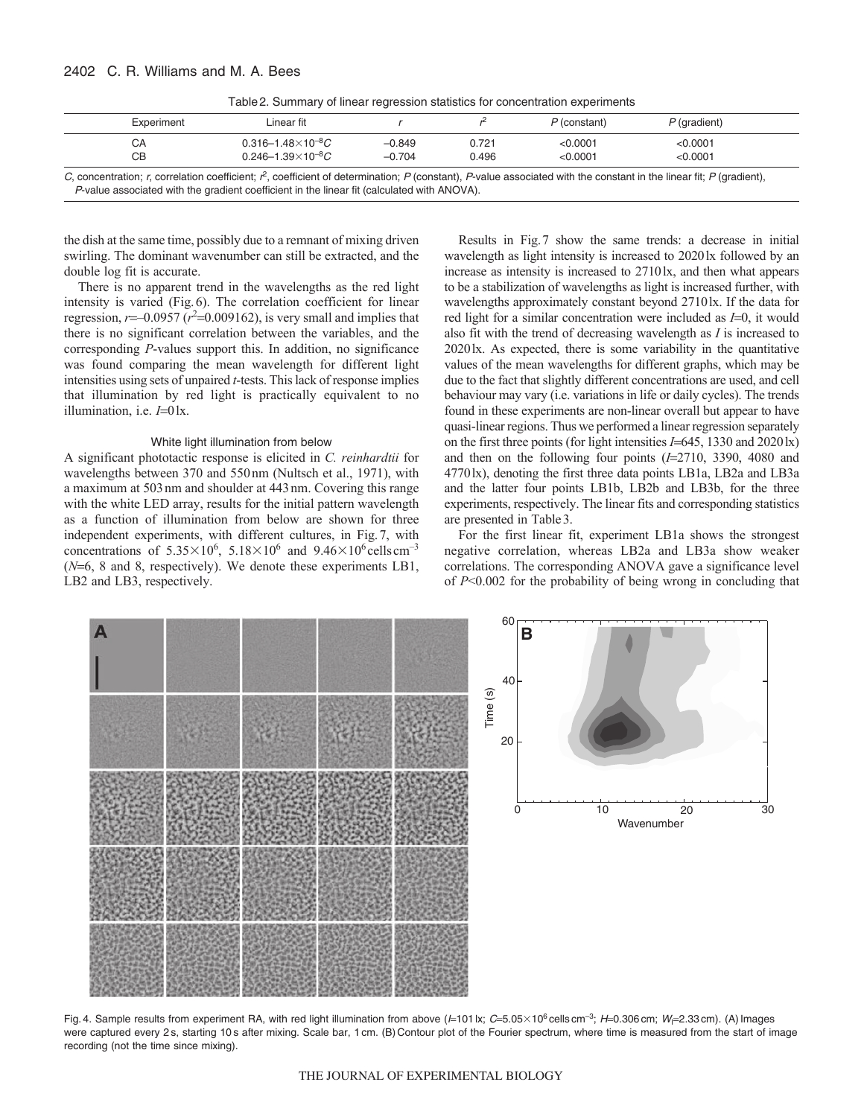## 2402 C. R. Williams and M. A. Bees

Table2. Summary of linear regression statistics for concentration experiments

|          | P (constant) |          | Linear fit                               | Experiment |
|----------|--------------|----------|------------------------------------------|------------|
| < 0.0001 | < 0.0001     | $-0.849$ | 0.316–1.48 $\times$ 10 <sup>–8</sup> $C$ | CА         |
| < 0.0001 | < 0.0001     | $-0.704$ | $0.246 - 1.39 \times 10^{-8} C$          | CВ         |
|          |              |          |                                          |            |

 $C$ , concentration;  $r$ , correlation coefficient;  $r$ onstant in the linear fit; P (gradient), P-value associated with the gradient coefficient in the linear fit (calculated with ANOVA).

the dish at the same time, possibly due to a remnant of mixing driven swirling. The dominant wavenumber can still be extracted, and the double log fit is accurate.

There is no apparent trend in the wavelengths as the red light intensity is varied (Fig.6). The correlation coefficient for linear regression,  $r = -0.0957 (r^2=0.009162)$ , is very small and implies that there is no significant correlation between the variables, and the corresponding *P*-values support this. In addition, no significance was found comparing the mean wavelength for different light intensities using sets of unpaired *t*-tests. This lack of response implies that illumination by red light is practically equivalent to no illumination, i.e.  $I=0$ lx.

#### White light illumination from below

A significant phototactic response is elicited in *C. reinhardtii* for wavelengths between 370 and 550nm (Nultsch et al., 1971), with a maximum at 503nm and shoulder at 443nm. Covering this range with the white LED array, results for the initial pattern wavelength as a function of illumination from below are shown for three independent experiments, with different cultures, in Fig.7, with concentrations of  $5.35 \times 10^6$ ,  $5.18 \times 10^6$  and  $9.46 \times 10^6$  cells cm<sup>-3</sup>  $(N=6, 8$  and 8, respectively). We denote these experiments LB1, LB2 and LB3, respectively.

Results in Fig.7 show the same trends: a decrease in initial wavelength as light intensity is increased to 2020lx followed by an increase as intensity is increased to 2710lx, and then what appears to be a stabilization of wavelengths as light is increased further, with wavelengths approximately constant beyond 2710lx. If the data for red light for a similar concentration were included as  $I=0$ , it would also fit with the trend of decreasing wavelength as *I* is increased to 2020lx. As expected, there is some variability in the quantitative values of the mean wavelengths for different graphs, which may be due to the fact that slightly different concentrations are used, and cell behaviour may vary (i.e. variations in life or daily cycles). The trends found in these experiments are non-linear overall but appear to have quasi-linear regions. Thus we performed a linear regression separately on the first three points (for light intensities  $I=645$ , 1330 and 2020lx) and then on the following four points (*I*=2710, 3390, 4080 and 4770lx), denoting the first three data points LB1a, LB2a and LB3a and the latter four points LB1b, LB2b and LB3b, for the three experiments, respectively. The linear fits and corresponding statistics are presented in Table3.

For the first linear fit, experiment LB1a shows the strongest negative correlation, whereas LB2a and LB3a show weaker correlations. The corresponding ANOVA gave a significance level of *P*<0.002 for the probability of being wrong in concluding that

60 Α **B** 40 Time (s) 20 0 10 20 30 Wavenumber

Fig. 4. Sample results from experiment RA, with red light illumination from above ( $\pm$ 101 lx; C=5.05×10<sup>6</sup> cells cm<sup>-3</sup>; H=0.306 cm; W=2.33 cm). (A) Images were captured every 2s, starting 10s after mixing. Scale bar, 1 cm. (B) Contour plot of the Fourier spectrum, where time is measured from the start of image recording (not the time since mixing).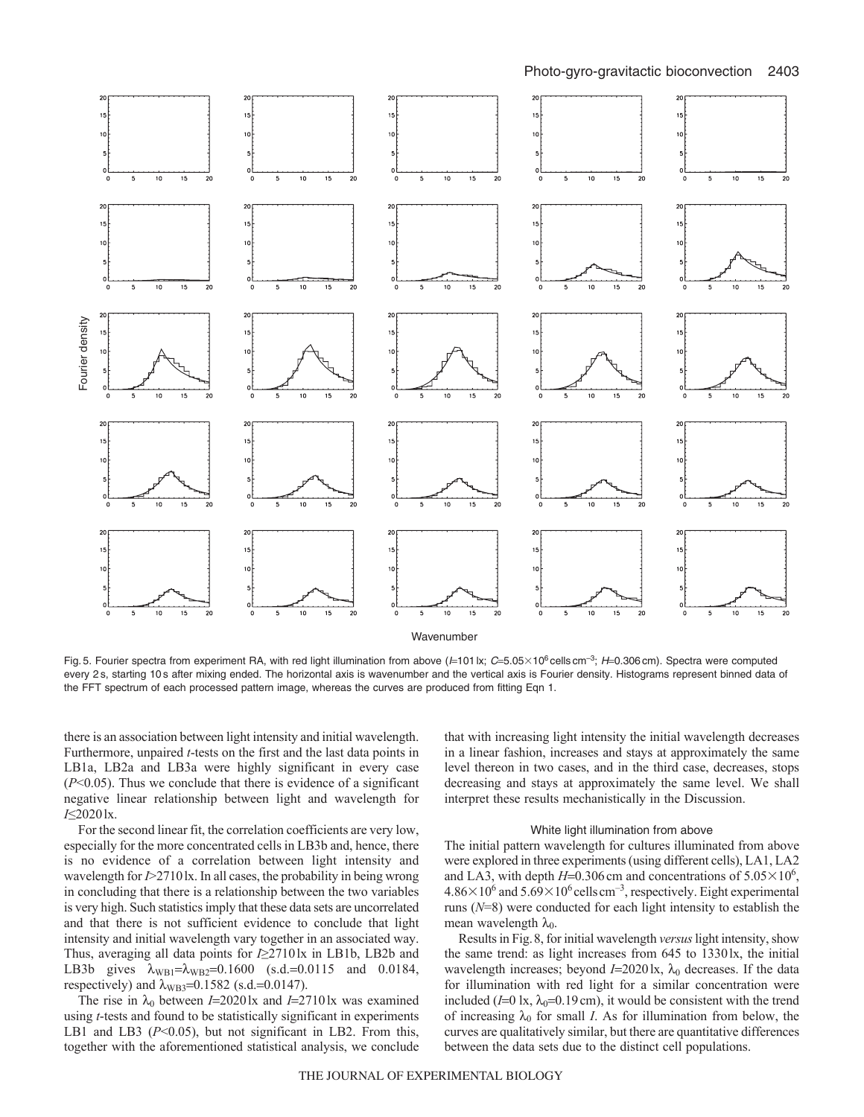

Fig. 5. Fourier spectra from experiment RA, with red light illumination from above ( $\pm$ 101 lx; C=5.05×10<sup>6</sup>cells cm<sup>-3</sup>; H=0.306 cm). Spectra were computed every 2s, starting 10s after mixing ended. The horizontal axis is wavenumber and the vertical axis is Fourier density. Histograms represent binned data of the FFT spectrum of each processed pattern image, whereas the curves are produced from fitting Eqn 1.

there is an association between light intensity and initial wavelength. Furthermore, unpaired *t*-tests on the first and the last data points in LB1a, LB2a and LB3a were highly significant in every case (*P*<0.05). Thus we conclude that there is evidence of a significant negative linear relationship between light and wavelength for *I*≤2020lx.

For the second linear fit, the correlation coefficients are very low, especially for the more concentrated cells in LB3b and, hence, there is no evidence of a correlation between light intensity and wavelength for *I*>2710lx. In all cases, the probability in being wrong in concluding that there is a relationship between the two variables is very high. Such statistics imply that these data sets are uncorrelated and that there is not sufficient evidence to conclude that light intensity and initial wavelength vary together in an associated way. Thus, averaging all data points for *I*≥2710lx in LB1b, LB2b and LB3b gives  $\lambda_{WB1}=\lambda_{WB2}=0.1600$  (s.d.=0.0115 and 0.0184, respectively) and  $\lambda_{\text{WB3}}=0.1582$  (s.d.=0.0147).

The rise in  $\lambda_0$  between *I*=2020lx and *I*=2710lx was examined using *t*-tests and found to be statistically significant in experiments LB1 and LB3 ( $P<0.05$ ), but not significant in LB2. From this, together with the aforementioned statistical analysis, we conclude that with increasing light intensity the initial wavelength decreases in a linear fashion, increases and stays at approximately the same level thereon in two cases, and in the third case, decreases, stops decreasing and stays at approximately the same level. We shall interpret these results mechanistically in the Discussion.

## White light illumination from above

The initial pattern wavelength for cultures illuminated from above were explored in three experiments (using different cells), LA1, LA2 and LA3, with depth  $H=0.306$  cm and concentrations of  $5.05\times10^6$ ,  $4.86 \times 10^6$  and  $5.69 \times 10^6$  cells cm<sup>-3</sup>, respectively. Eight experimental runs (*N*=8) were conducted for each light intensity to establish the mean wavelength  $\lambda_0$ .

Results in Fig.8, for initial wavelength *versus*light intensity, show the same trend: as light increases from 645 to 1330lx, the initial wavelength increases; beyond  $I=2020 \text{lx}$ ,  $\lambda_0$  decreases. If the data for illumination with red light for a similar concentration were included  $(I=0 \text{ lx}, \lambda_0=0.19 \text{ cm})$ , it would be consistent with the trend of increasing  $\lambda_0$  for small *I*. As for illumination from below, the curves are qualitatively similar, but there are quantitative differences between the data sets due to the distinct cell populations.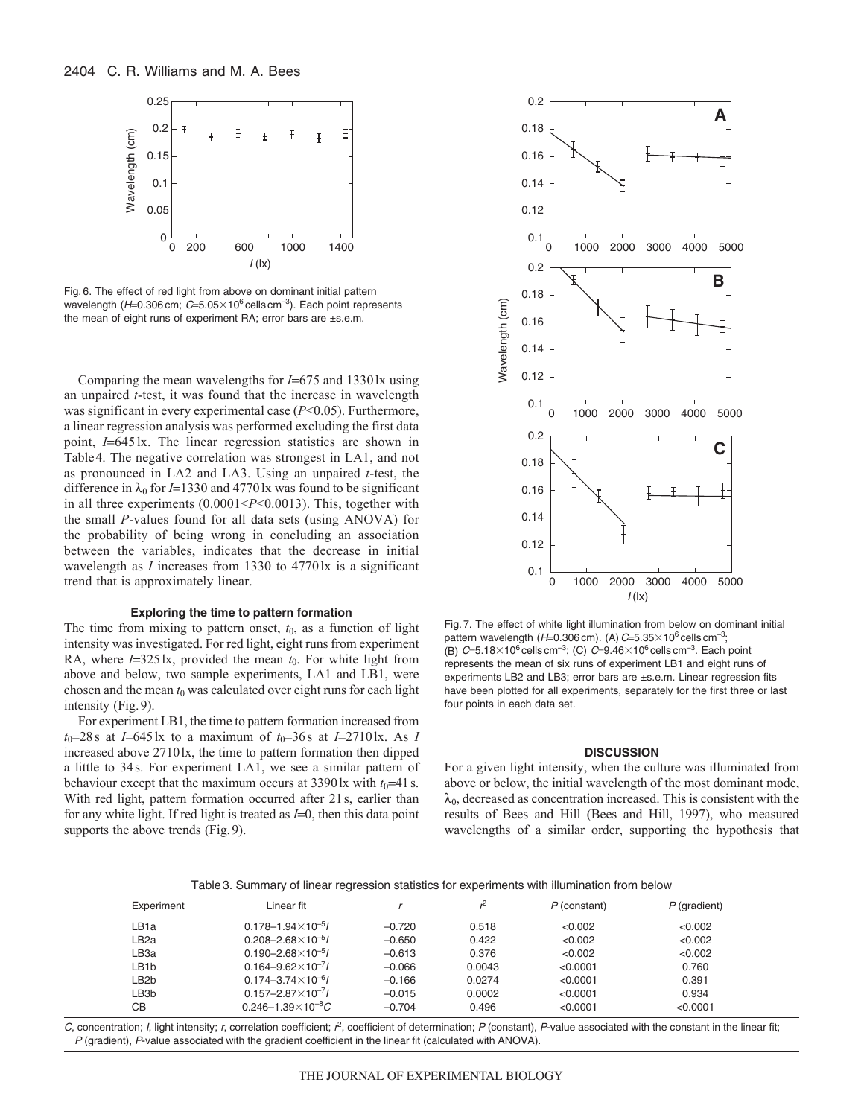

Fig. 6. The effect of red light from above on dominant initial pattern wavelength ( $H$ =0.306 cm;  $C$ =5.05 $\times$ 10<sup>6</sup> cells cm<sup>-3</sup>). Each point represents the mean of eight runs of experiment RA; error bars are ±s.e.m.

Comparing the mean wavelengths for *I*=675 and 1330 lx using an unpaired *t*-test, it was found that the increase in wavelength was significant in every experimental case (*P*<0.05). Furthermore, a linear regression analysis was performed excluding the first data point, *I*=645 lx. The linear regression statistics are shown in Table4. The negative correlation was strongest in LA1, and not as pronounced in LA2 and LA3. Using an unpaired *t*-test, the difference in  $\lambda_0$  for *I*=1330 and 4770lx was found to be significant in all three experiments (0.0001<*P*<0.0013). This, together with the small *P*-values found for all data sets (using ANOVA) for the probability of being wrong in concluding an association between the variables, indicates that the decrease in initial wavelength as *I* increases from 1330 to 4770 lx is a significant trend that is approximately linear.

#### **Exploring the time to pattern formation**

The time from mixing to pattern onset,  $t_0$ , as a function of light intensity was investigated. For red light, eight runs from experiment RA, where *I*=325lx, provided the mean  $t_0$ . For white light from above and below, two sample experiments, LA1 and LB1, were chosen and the mean  $t_0$  was calculated over eight runs for each light intensity (Fig.9).

For experiment LB1, the time to pattern formation increased from  $t_0$ =28s at *I*=645lx to a maximum of  $t_0$ =36s at *I*=2710lx. As *I* increased above 2710lx, the time to pattern formation then dipped a little to 34s. For experiment LA1, we see a similar pattern of behaviour except that the maximum occurs at  $3390 \text{ lx}$  with  $t_0=41 \text{ s}$ . With red light, pattern formation occurred after 21s, earlier than for any white light. If red light is treated as  $I=0$ , then this data point supports the above trends (Fig. 9).



Fig. 7. The effect of white light illumination from below on dominant initial pattern wavelength ( $H=0.306$  cm). (A)  $C=5.35\times10^6$  cells cm<sup>-3</sup>; (B)  $C = 5.18 \times 10^6$  cells cm<sup>-3</sup>; (C)  $C = 9.46 \times 10^6$  cells cm<sup>-3</sup>. Each point represents the mean of six runs of experiment LB1 and eight runs of experiments LB2 and LB3; error bars are ±s.e.m. Linear regression fits have been plotted for all experiments, separately for the first three or last four points in each data set.

#### **DISCUSSION**

For a given light intensity, when the culture was illuminated from above or below, the initial wavelength of the most dominant mode,  $\lambda_0$ , decreased as concentration increased. This is consistent with the results of Bees and Hill (Bees and Hill, 1997), who measured wavelengths of a similar order, supporting the hypothesis that

Table3. Summary of linear regression statistics for experiments with illumination from below

| Experiment        | Linear fit                      |          |        | $P$ (constant) | $P$ (gradient) |  |
|-------------------|---------------------------------|----------|--------|----------------|----------------|--|
| LB1a              | $0.178 - 1.94 \times 10^{-5}$ / | $-0.720$ | 0.518  | < 0.002        | < 0.002        |  |
| LB2a              | $0.208 - 2.68 \times 10^{-5}$   | $-0.650$ | 0.422  | < 0.002        | < 0.002        |  |
| LB3a              | $0.190 - 2.68 \times 10^{-5}$   | $-0.613$ | 0.376  | < 0.002        | < 0.002        |  |
| LB <sub>1</sub> b | $0.164 - 9.62 \times 10^{-7}$   | $-0.066$ | 0.0043 | < 0.0001       | 0.760          |  |
| LB2b              | $0.174 - 3.74 \times 10^{-6}$   | $-0.166$ | 0.0274 | < 0.0001       | 0.391          |  |
| LB3b              | $0.157 - 2.87 \times 10^{-7}$   | $-0.015$ | 0.0002 | < 0.0001       | 0.934          |  |
| CВ                | $0.246 - 1.39 \times 10^{-8}$ C | $-0.704$ | 0.496  | < 0.0001       | < 0.0001       |  |
|                   |                                 |          |        |                |                |  |

C, concentration; I, light intensity; r, correlation coefficient;  $r^2$ , coefficient of determination; P (constant), P-value associated with the constant in the linear fit; P (gradient), P-value associated with the gradient coefficient in the linear fit (calculated with ANOVA).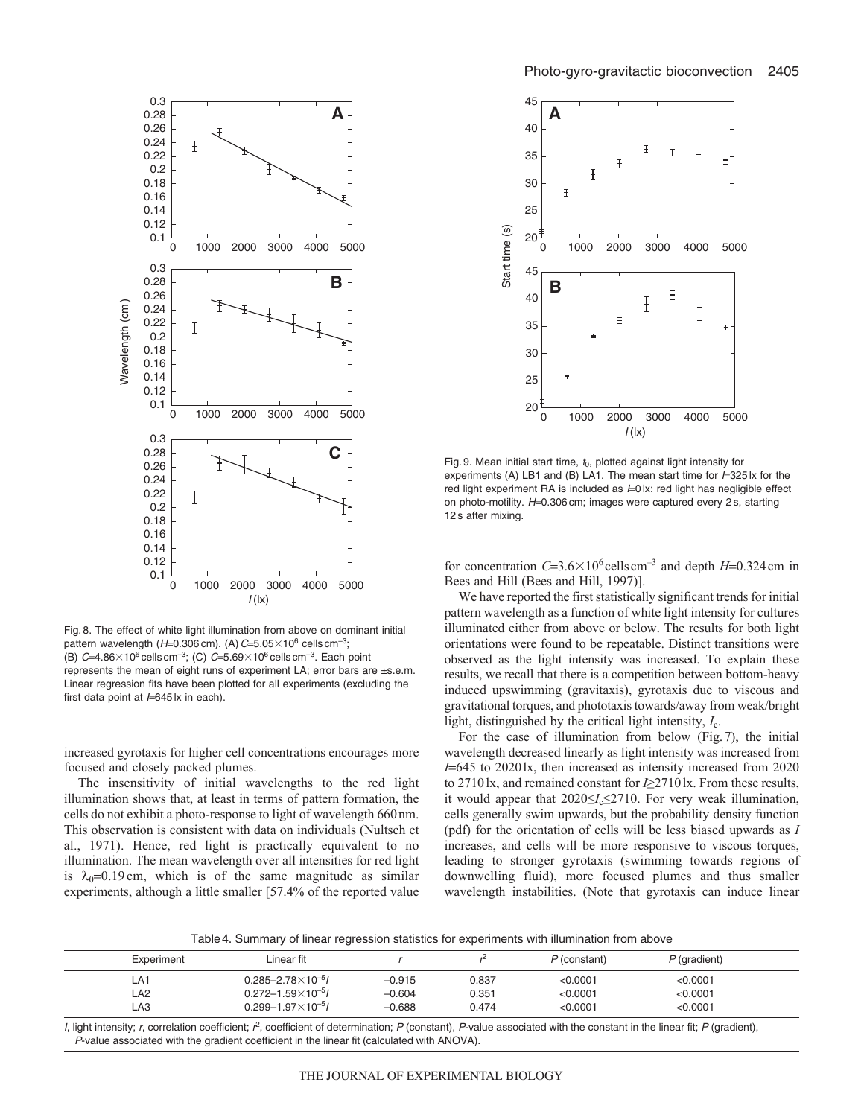

Fig. 8. The effect of white light illumination from above on dominant initial pattern wavelength ( $H=0.306$  cm). (A)  $C=5.05\times10^6$  cells cm<sup>-3</sup>; (B)  $C = 4.86 \times 10^6$  cells cm<sup>-3</sup>; (C)  $C = 5.69 \times 10^6$  cells cm<sup>-3</sup>. Each point represents the mean of eight runs of experiment LA; error bars are ±s.e.m. Linear regression fits have been plotted for all experiments (excluding the first data point at  $E=645$  lx in each).

increased gyrotaxis for higher cell concentrations encourages more focused and closely packed plumes.

The insensitivity of initial wavelengths to the red light illumination shows that, at least in terms of pattern formation, the cells do not exhibit a photo-response to light of wavelength 660nm. This observation is consistent with data on individuals (Nultsch et al., 1971). Hence, red light is practically equivalent to no illumination. The mean wavelength over all intensities for red light is  $\lambda_0=0.19$  cm, which is of the same magnitude as similar experiments, although a little smaller [57.4% of the reported value



Fig. 9. Mean initial start time,  $t_0$ , plotted against light intensity for experiments (A) LB1 and (B) LA1. The mean start time for  $E=325$  lx for the red light experiment RA is included as  $L=0$  lx: red light has negligible effect on photo-motility.  $H=0.306$  cm; images were captured every 2 s, starting 12 s after mixing.

for concentration  $C=3.6\times10^6$  cells cm<sup>-3</sup> and depth *H*=0.324 cm in Bees and Hill (Bees and Hill, 1997)].

We have reported the first statistically significant trends for initial pattern wavelength as a function of white light intensity for cultures illuminated either from above or below. The results for both light orientations were found to be repeatable. Distinct transitions were observed as the light intensity was increased. To explain these results, we recall that there is a competition between bottom-heavy induced upswimming (gravitaxis), gyrotaxis due to viscous and gravitational torques, and phototaxis towards/away from weak/bright light, distinguished by the critical light intensity, *I*c.

For the case of illumination from below (Fig.7), the initial wavelength decreased linearly as light intensity was increased from *I*=645 to 2020lx, then increased as intensity increased from 2020 to 2710lx, and remained constant for *I*≥2710lx. From these results, it would appear that 2020≤*I*c≤2710. For very weak illumination, cells generally swim upwards, but the probability density function (pdf) for the orientation of cells will be less biased upwards as *I* increases, and cells will be more responsive to viscous torques, leading to stronger gyrotaxis (swimming towards regions of downwelling fluid), more focused plumes and thus smaller wavelength instabilities. (Note that gyrotaxis can induce linear

Table4. Summary of linear regression statistics for experiments with illumination from above

| Experiment | Linear fit                      |          |       | P (constant) | P (gradient) |  |
|------------|---------------------------------|----------|-------|--------------|--------------|--|
| LA1        | $0.285 - 2.78 \times 10^{-5}$ / | $-0.915$ | 0.837 | < 0.0001     | < 0.0001     |  |
| LA2        | $0.272 - 1.59 \times 10^{-5}$ / | $-0.604$ | 0.351 | < 0.0001     | < 0.0001     |  |
| LA3        | $0.299 - 1.97 \times 10^{-5}$ / | $-0.688$ | 0.474 | < 0.0001     | < 0.0001     |  |

I, light intensity; r, correlation coefficient;  $\hat{r}$ , coefficient of determination; P (constant), P-value associated with the constant in the linear fit; P (gradient), P-value associated with the gradient coefficient in the linear fit (calculated with ANOVA).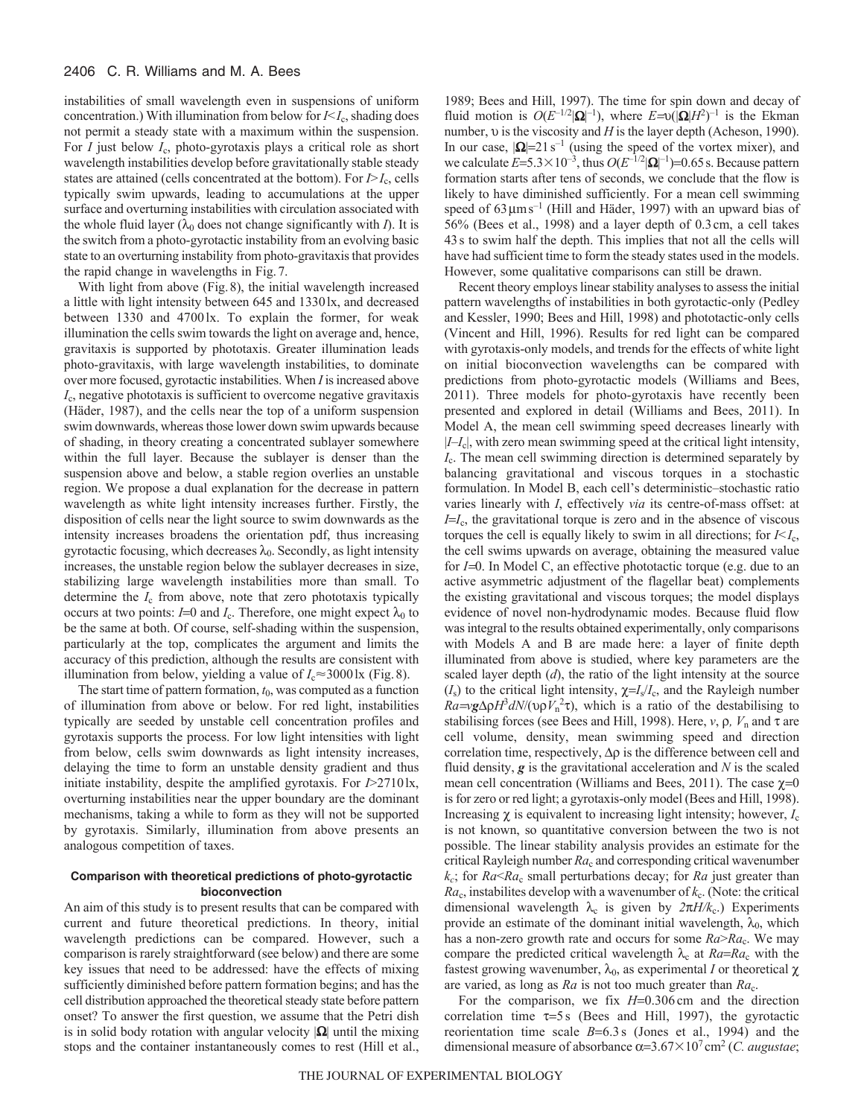instabilities of small wavelength even in suspensions of uniform concentration.) With illumination from below for *I<I*c, shading does not permit a steady state with a maximum within the suspension. For *I* just below *I*c, photo-gyrotaxis plays a critical role as short wavelength instabilities develop before gravitationally stable steady states are attained (cells concentrated at the bottom). For  $I>I_c$ , cells typically swim upwards, leading to accumulations at the upper surface and overturning instabilities with circulation associated with the whole fluid layer ( $\lambda_0$  does not change significantly with *I*). It is the switch from a photo-gyrotactic instability from an evolving basic state to an overturning instability from photo-gravitaxis that provides the rapid change in wavelengths in Fig.7.

With light from above (Fig.8), the initial wavelength increased a little with light intensity between 645 and 1330lx, and decreased between 1330 and 4700 lx. To explain the former, for weak illumination the cells swim towards the light on average and, hence, gravitaxis is supported by phototaxis. Greater illumination leads photo-gravitaxis, with large wavelength instabilities, to dominate over more focused, gyrotactic instabilities. When *I* is increased above *I*c, negative phototaxis is sufficient to overcome negative gravitaxis (Häder, 1987), and the cells near the top of a uniform suspension swim downwards, whereas those lower down swim upwards because of shading, in theory creating a concentrated sublayer somewhere within the full layer. Because the sublayer is denser than the suspension above and below, a stable region overlies an unstable region. We propose a dual explanation for the decrease in pattern wavelength as white light intensity increases further. Firstly, the disposition of cells near the light source to swim downwards as the intensity increases broadens the orientation pdf, thus increasing gyrotactic focusing, which decreases  $\lambda_0$ . Secondly, as light intensity increases, the unstable region below the sublayer decreases in size, stabilizing large wavelength instabilities more than small. To determine the  $I_c$  from above, note that zero phototaxis typically occurs at two points:  $I=0$  and  $I_c$ . Therefore, one might expect  $\lambda_0$  to be the same at both. Of course, self-shading within the suspension, particularly at the top, complicates the argument and limits the accuracy of this prediction, although the results are consistent with illumination from below, yielding a value of  $I_c \approx 3000 \text{ lx (Fig. 8)}.$ 

The start time of pattern formation, *t*0, was computed as a function of illumination from above or below. For red light, instabilities typically are seeded by unstable cell concentration profiles and gyrotaxis supports the process. For low light intensities with light from below, cells swim downwards as light intensity increases, delaying the time to form an unstable density gradient and thus initiate instability, despite the amplified gyrotaxis. For *I*>2710lx, overturning instabilities near the upper boundary are the dominant mechanisms, taking a while to form as they will not be supported by gyrotaxis. Similarly, illumination from above presents an analogous competition of taxes.

#### **Comparison with theoretical predictions of photo-gyrotactic bioconvection**

An aim of this study is to present results that can be compared with current and future theoretical predictions. In theory, initial wavelength predictions can be compared. However, such a comparison is rarely straightforward (see below) and there are some key issues that need to be addressed: have the effects of mixing sufficiently diminished before pattern formation begins; and has the cell distribution approached the theoretical steady state before pattern onset? To answer the first question, we assume that the Petri dish is in solid body rotation with angular velocity  $|\Omega|$  until the mixing stops and the container instantaneously comes to rest (Hill et al.,

1989; Bees and Hill, 1997). The time for spin down and decay of fluid motion is  $O(E^{-1/2}|\mathbf{\Omega}|^{-1})$ , where  $E=O(|\mathbf{\Omega}|H^2)^{-1}$  is the Ekman number,  $\nu$  is the viscosity and *H* is the layer depth (Acheson, 1990). In our case,  $|\Omega| = 21 \text{ s}^{-1}$  (using the speed of the vortex mixer), and we calculate  $E=5.3\times10^{-3}$ , thus  $O(E^{-1/2}|\mathbf{\Omega}|^{-1})=0.65$  s. Because pattern formation starts after tens of seconds, we conclude that the flow is likely to have diminished sufficiently. For a mean cell swimming speed of  $63 \mu m s^{-1}$  (Hill and Häder, 1997) with an upward bias of 56% (Bees et al., 1998) and a layer depth of 0.3cm, a cell takes 43s to swim half the depth. This implies that not all the cells will have had sufficient time to form the steady states used in the models. However, some qualitative comparisons can still be drawn.

Recent theory employs linear stability analyses to assess the initial pattern wavelengths of instabilities in both gyrotactic-only (Pedley and Kessler, 1990; Bees and Hill, 1998) and phototactic-only cells (Vincent and Hill, 1996). Results for red light can be compared with gyrotaxis-only models, and trends for the effects of white light on initial bioconvection wavelengths can be compared with predictions from photo-gyrotactic models (Williams and Bees, 2011). Three models for photo-gyrotaxis have recently been presented and explored in detail (Williams and Bees, 2011). In Model A, the mean cell swimming speed decreases linearly with |*I*–*I*c|, with zero mean swimming speed at the critical light intensity, *I*c. The mean cell swimming direction is determined separately by balancing gravitational and viscous torques in a stochastic formulation. In Model B, each cell's deterministic–stochastic ratio varies linearly with *I*, effectively *via* its centre-of-mass offset: at *I*=*I*<sub>c</sub>, the gravitational torque is zero and in the absence of viscous torques the cell is equally likely to swim in all directions; for  $K_{1c}$ , the cell swims upwards on average, obtaining the measured value for *I*=0. In Model C, an effective phototactic torque (e.g. due to an active asymmetric adjustment of the flagellar beat) complements the existing gravitational and viscous torques; the model displays evidence of novel non-hydrodynamic modes. Because fluid flow was integral to the results obtained experimentally, only comparisons with Models A and B are made here: a layer of finite depth illuminated from above is studied, where key parameters are the scaled layer depth (*d*), the ratio of the light intensity at the source  $(I_s)$  to the critical light intensity,  $\chi = I_s/I_c$ , and the Rayleigh number  $Ra = v g \Delta \rho H^3 dN / (v \rho V_n^2 \tau)$ , which is a ratio of the destabilising to stabilising forces (see Bees and Hill, 1998). Here,  $v$ ,  $\rho$ ,  $V_n$  and  $\tau$  are cell volume, density, mean swimming speed and direction correlation time, respectively,  $\Delta \rho$  is the difference between cell and fluid density,  $g$  is the gravitational acceleration and  $N$  is the scaled mean cell concentration (Williams and Bees, 2011). The case  $\chi=0$ is for zero or red light; a gyrotaxis-only model (Bees and Hill, 1998). Increasing  $\chi$  is equivalent to increasing light intensity; however,  $I_c$ is not known, so quantitative conversion between the two is not possible. The linear stability analysis provides an estimate for the critical Rayleigh number *Ra*<sup>c</sup> and corresponding critical wavenumber *kc*; for *Ra*<*Ra*<sup>c</sup> small perturbations decay; for *Ra* just greater than  $Ra_{c}$ , instabilites develop with a wavenumber of  $k_{c}$ . (Note: the critical dimensional wavelength  $\lambda_c$  is given by  $2\pi H/k_c$ .) Experiments provide an estimate of the dominant initial wavelength,  $\lambda_0$ , which has a non-zero growth rate and occurs for some *Ra*>*Ra*c. We may compare the predicted critical wavelength  $\lambda_c$  at  $Ra = Ra_c$  with the fastest growing wavenumber,  $\lambda_0$ , as experimental *I* or theoretical  $\chi$ are varied, as long as *Ra* is not too much greater than *Ra*c.

For the comparison, we fix  $H=0.306$  cm and the direction correlation time  $\tau = 5$  s (Bees and Hill, 1997), the gyrotactic reorientation time scale  $B=6.3$  s (Jones et al., 1994) and the dimensional measure of absorbance  $\alpha = 3.67 \times 10^7$  cm<sup>2</sup> (*C. augustae*;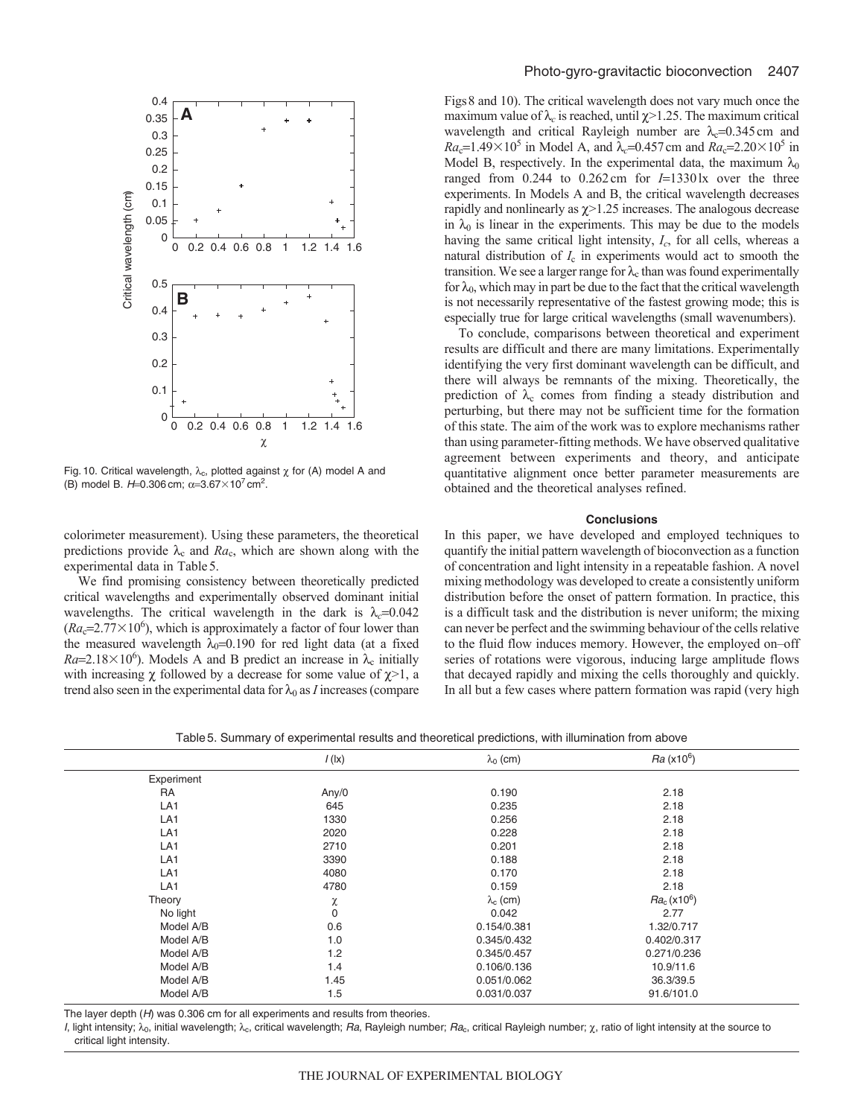

Fig. 10. Critical wavelength,  $\lambda_c$ , plotted against  $\chi$  for (A) model A and (B) model B.  $H=0.306$  cm;  $\alpha=3.67\times10^{7}$  cm<sup>2</sup>.

colorimeter measurement). Using these parameters, the theoretical predictions provide  $\lambda_c$  and  $Ra_c$ , which are shown along with the experimental data in Table5.

We find promising consistency between theoretically predicted critical wavelengths and experimentally observed dominant initial wavelengths. The critical wavelength in the dark is  $\lambda_c = 0.042$  $(Ra_c=2.77\times10^6)$ , which is approximately a factor of four lower than the measured wavelength  $\lambda_0=0.190$  for red light data (at a fixed  $Ra=2.18\times10^6$ ). Models A and B predict an increase in  $\lambda_c$  initially with increasing  $\chi$  followed by a decrease for some value of  $\chi$ >1, a trend also seen in the experimental data for  $\lambda_0$  as *I* increases (compare Figs8 and 10). The critical wavelength does not vary much once the maximum value of  $\lambda_c$  is reached, until  $\chi$ >1.25. The maximum critical wavelength and critical Rayleigh number are  $\lambda_c = 0.345$  cm and  $Ra_{c} = 1.49 \times 10^{5}$  in Model A, and  $\lambda_{c} = 0.457$  cm and  $Ra_{c} = 2.20 \times 10^{5}$  in Model B, respectively. In the experimental data, the maximum  $\lambda_0$ ranged from  $0.244$  to  $0.262$  cm for  $I=1330$  lx over the three experiments. In Models A and B, the critical wavelength decreases rapidly and nonlinearly as  $\chi$ >1.25 increases. The analogous decrease in  $\lambda_0$  is linear in the experiments. This may be due to the models having the same critical light intensity, *Ic*, for all cells, whereas a natural distribution of  $I_c$  in experiments would act to smooth the transition. We see a larger range for  $\lambda_c$  than was found experimentally for  $\lambda_0$ , which may in part be due to the fact that the critical wavelength is not necessarily representative of the fastest growing mode; this is especially true for large critical wavelengths (small wavenumbers).

To conclude, comparisons between theoretical and experiment results are difficult and there are many limitations. Experimentally identifying the very first dominant wavelength can be difficult, and there will always be remnants of the mixing. Theoretically, the prediction of  $\lambda_c$  comes from finding a steady distribution and perturbing, but there may not be sufficient time for the formation of this state. The aim of the work was to explore mechanisms rather than using parameter-fitting methods. We have observed qualitative agreement between experiments and theory, and anticipate quantitative alignment once better parameter measurements are obtained and the theoretical analyses refined.

#### **Conclusions**

In this paper, we have developed and employed techniques to quantify the initial pattern wavelength of bioconvection as a function of concentration and light intensity in a repeatable fashion. A novel mixing methodology was developed to create a consistently uniform distribution before the onset of pattern formation. In practice, this is a difficult task and the distribution is never uniform; the mixing can never be perfect and the swimming behaviour of the cells relative to the fluid flow induces memory. However, the employed on–off series of rotations were vigorous, inducing large amplitude flows that decayed rapidly and mixing the cells thoroughly and quickly. In all but a few cases where pattern formation was rapid (very high

Table5. Summary of experimental results and theoretical predictions, with illumination from above

|                 | $I$ ( $\vert x \rangle$ | $\lambda_0$ (cm) | <i>Ra</i> (x10 <sup>6</sup> ) |  |
|-----------------|-------------------------|------------------|-------------------------------|--|
| Experiment      |                         |                  |                               |  |
| RA              | Any/0                   | 0.190            | 2.18                          |  |
| LA <sub>1</sub> | 645                     | 0.235            | 2.18                          |  |
| LA <sub>1</sub> | 1330                    | 0.256            | 2.18                          |  |
| LA <sub>1</sub> | 2020                    | 0.228            | 2.18                          |  |
| LA1             | 2710                    | 0.201            | 2.18                          |  |
| LA <sub>1</sub> | 3390                    | 0.188            | 2.18                          |  |
| LA1             | 4080                    | 0.170            | 2.18                          |  |
| LA1             | 4780                    | 0.159            | 2.18                          |  |
| Theory          | χ                       | $\lambda_c$ (cm) | $Ra_{c}$ (x10 $^{6}$ )        |  |
| No light        | $\mathbf 0$             | 0.042            | 2.77                          |  |
| Model A/B       | 0.6                     | 0.154/0.381      | 1.32/0.717                    |  |
| Model A/B       | 1.0                     | 0.345/0.432      | 0.402/0.317                   |  |
| Model A/B       | 1.2                     | 0.345/0.457      | 0.271/0.236                   |  |
| Model A/B       | 1.4                     | 0.106/0.136      | 10.9/11.6                     |  |
| Model A/B       | 1.45                    | 0.051/0.062      | 36.3/39.5                     |  |
| Model A/B       | 1.5                     | 0.031/0.037      | 91.6/101.0                    |  |
|                 |                         |                  |                               |  |

The layer depth  $(H)$  was 0.306 cm for all experiments and results from theories.

I, light intensity;  $\lambda_0$ , initial wavelength;  $\lambda_c$ , critical wavelength; Ra, Rayleigh number; Ra<sub>c</sub>, critical Rayleigh number;  $\chi$ , ratio of light intensity at the source to critical light intensity.